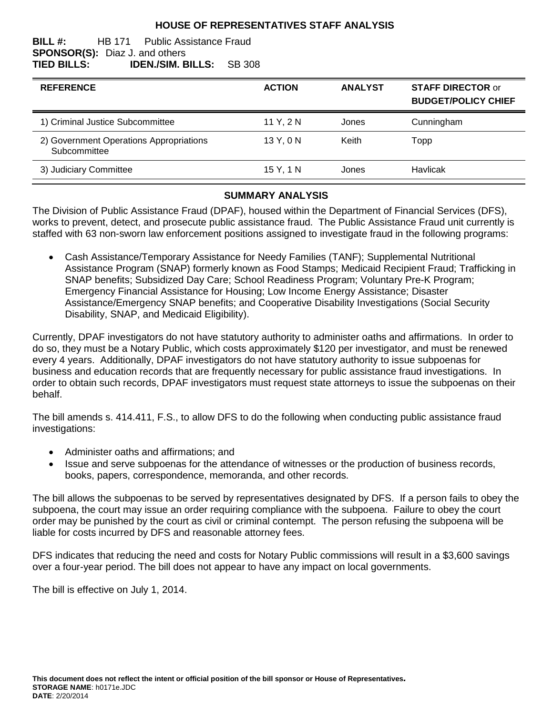### **HOUSE OF REPRESENTATIVES STAFF ANALYSIS**

#### **BILL #:** HB 171 Public Assistance Fraud **SPONSOR(S):** Diaz J. and others **TIED BILLS: IDEN./SIM. BILLS:** SB 308

| <b>REFERENCE</b>                                        | <b>ACTION</b> | <b>ANALYST</b> | <b>STAFF DIRECTOR or</b><br><b>BUDGET/POLICY CHIEF</b> |
|---------------------------------------------------------|---------------|----------------|--------------------------------------------------------|
| 1) Criminal Justice Subcommittee                        | 11 Y. 2 N     | Jones          | Cunningham                                             |
| 2) Government Operations Appropriations<br>Subcommittee | 13 Y, 0 N     | Keith          | Topp                                                   |
| 3) Judiciary Committee                                  | 15 Y, 1 N     | Jones          | Havlicak                                               |

#### **SUMMARY ANALYSIS**

The Division of Public Assistance Fraud (DPAF), housed within the Department of Financial Services (DFS), works to prevent, detect, and prosecute public assistance fraud. The Public Assistance Fraud unit currently is staffed with 63 non-sworn law enforcement positions assigned to investigate fraud in the following programs:

 Cash Assistance/Temporary Assistance for Needy Families (TANF); Supplemental Nutritional Assistance Program (SNAP) formerly known as Food Stamps; Medicaid Recipient Fraud; Trafficking in SNAP benefits; Subsidized Day Care; School Readiness Program; Voluntary Pre-K Program; Emergency Financial Assistance for Housing; Low Income Energy Assistance; Disaster Assistance/Emergency SNAP benefits; and Cooperative Disability Investigations (Social Security Disability, SNAP, and Medicaid Eligibility).

Currently, DPAF investigators do not have statutory authority to administer oaths and affirmations. In order to do so, they must be a Notary Public, which costs approximately \$120 per investigator, and must be renewed every 4 years. Additionally, DPAF investigators do not have statutory authority to issue subpoenas for business and education records that are frequently necessary for public assistance fraud investigations. In order to obtain such records, DPAF investigators must request state attorneys to issue the subpoenas on their behalf.

The bill amends s. 414.411, F.S., to allow DFS to do the following when conducting public assistance fraud investigations:

- Administer oaths and affirmations; and
- Issue and serve subpoenas for the attendance of witnesses or the production of business records, books, papers, correspondence, memoranda, and other records.

The bill allows the subpoenas to be served by representatives designated by DFS. If a person fails to obey the subpoena, the court may issue an order requiring compliance with the subpoena. Failure to obey the court order may be punished by the court as civil or criminal contempt. The person refusing the subpoena will be liable for costs incurred by DFS and reasonable attorney fees.

DFS indicates that reducing the need and costs for Notary Public commissions will result in a \$3,600 savings over a four-year period. The bill does not appear to have any impact on local governments.

The bill is effective on July 1, 2014.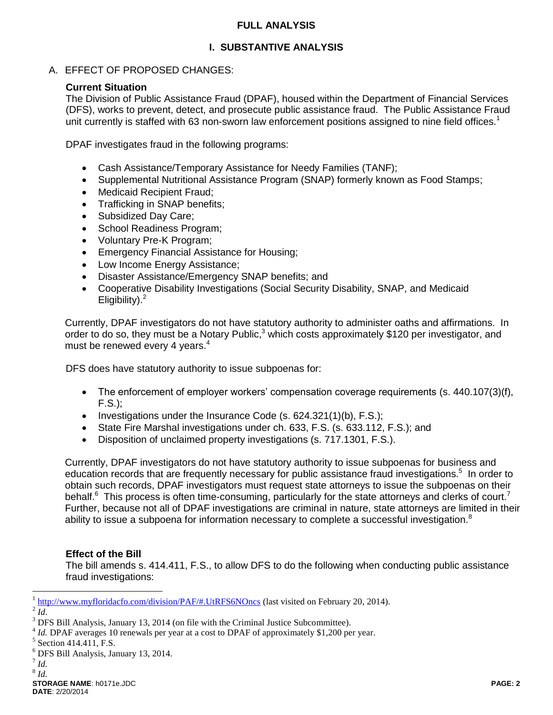### **FULL ANALYSIS**

# **I. SUBSTANTIVE ANALYSIS**

A. EFFECT OF PROPOSED CHANGES:

# **Current Situation**

The Division of Public Assistance Fraud (DPAF), housed within the Department of Financial Services (DFS), works to prevent, detect, and prosecute public assistance fraud. The Public Assistance Fraud unit currently is staffed with 63 non-sworn law enforcement positions assigned to nine field offices.<sup>1</sup>

DPAF investigates fraud in the following programs:

- Cash Assistance/Temporary Assistance for Needy Families (TANF);
- Supplemental Nutritional Assistance Program (SNAP) formerly known as Food Stamps;
- Medicaid Recipient Fraud;
- Trafficking in SNAP benefits;
- Subsidized Day Care;
- School Readiness Program;
- Voluntary Pre-K Program:
- Emergency Financial Assistance for Housing;
- Low Income Energy Assistance;
- Disaster Assistance/Emergency SNAP benefits; and
- Cooperative Disability Investigations (Social Security Disability, SNAP, and Medicaid Eligibility). $<sup>2</sup>$ </sup>

Currently, DPAF investigators do not have statutory authority to administer oaths and affirmations. In order to do so, they must be a Notary Public,<sup>3</sup> which costs approximately \$120 per investigator, and must be renewed every 4 years.<sup>4</sup>

DFS does have statutory authority to issue subpoenas for:

- The enforcement of employer workers' compensation coverage requirements (s. 440.107(3)(f), F.S.);
- Investigations under the Insurance Code (s.  $624.321(1)(b)$ , F.S.);
- State Fire Marshal investigations under ch. 633, F.S. (s. 633.112, F.S.); and
- Disposition of unclaimed property investigations (s. 717.1301, F.S.).

Currently, DPAF investigators do not have statutory authority to issue subpoenas for business and education records that are frequently necessary for public assistance fraud investigations.<sup>5</sup> In order to obtain such records, DPAF investigators must request state attorneys to issue the subpoenas on their behalf.<sup>6</sup> This process is often time-consuming, particularly for the state attorneys and clerks of court.<sup>7</sup> Further, because not all of DPAF investigations are criminal in nature, state attorneys are limited in their ability to issue a subpoena for information necessary to complete a successful investigation.<sup>8</sup>

### **Effect of the Bill**

The bill amends s. 414.411, F.S., to allow DFS to do the following when conducting public assistance fraud investigations:

 $\overline{a}$ 

<sup>&</sup>lt;sup>1</sup> <http://www.myfloridacfo.com/division/PAF/#.UtRFS6NOncs> (last visited on February 20, 2014).

 $^{2}$ *Id*.

<sup>&</sup>lt;sup>3</sup> DFS Bill Analysis, January 13, 2014 (on file with the Criminal Justice Subcommittee).

<sup>&</sup>lt;sup>4</sup> *Id.* DPAF averages 10 renewals per year at a cost to DPAF of approximately \$1,200 per year.

<sup>&</sup>lt;sup>5</sup> Section 414.411, F.S.

<sup>6</sup> DFS Bill Analysis, January 13, 2014.

<sup>7</sup> *Id.* 8 *Id.*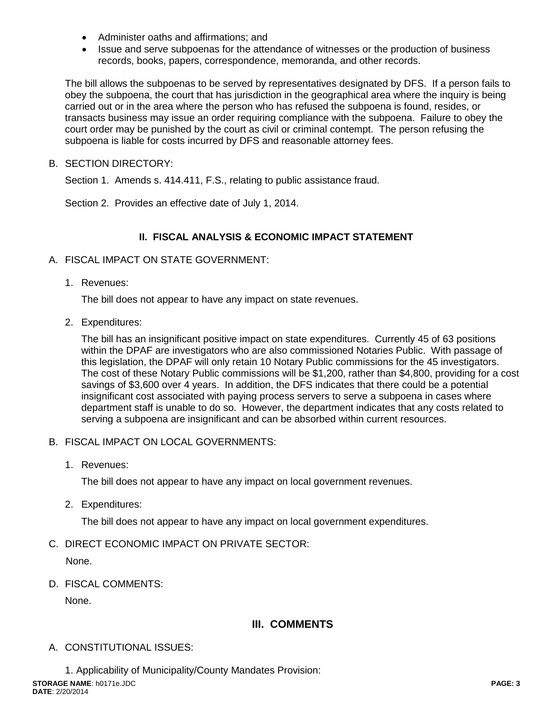- Administer oaths and affirmations: and
- Issue and serve subpoenas for the attendance of witnesses or the production of business records, books, papers, correspondence, memoranda, and other records.

The bill allows the subpoenas to be served by representatives designated by DFS. If a person fails to obey the subpoena, the court that has jurisdiction in the geographical area where the inquiry is being carried out or in the area where the person who has refused the subpoena is found, resides, or transacts business may issue an order requiring compliance with the subpoena. Failure to obey the court order may be punished by the court as civil or criminal contempt. The person refusing the subpoena is liable for costs incurred by DFS and reasonable attorney fees.

B. SECTION DIRECTORY:

Section 1. Amends s. 414.411, F.S., relating to public assistance fraud.

Section 2. Provides an effective date of July 1, 2014.

### **II. FISCAL ANALYSIS & ECONOMIC IMPACT STATEMENT**

- A. FISCAL IMPACT ON STATE GOVERNMENT:
	- 1. Revenues:

The bill does not appear to have any impact on state revenues.

2. Expenditures:

The bill has an insignificant positive impact on state expenditures. Currently 45 of 63 positions within the DPAF are investigators who are also commissioned Notaries Public. With passage of this legislation, the DPAF will only retain 10 Notary Public commissions for the 45 investigators. The cost of these Notary Public commissions will be \$1,200, rather than \$4,800, providing for a cost savings of \$3,600 over 4 years. In addition, the DFS indicates that there could be a potential insignificant cost associated with paying process servers to serve a subpoena in cases where department staff is unable to do so. However, the department indicates that any costs related to serving a subpoena are insignificant and can be absorbed within current resources.

- B. FISCAL IMPACT ON LOCAL GOVERNMENTS:
	- 1. Revenues:

The bill does not appear to have any impact on local government revenues.

2. Expenditures:

The bill does not appear to have any impact on local government expenditures.

C. DIRECT ECONOMIC IMPACT ON PRIVATE SECTOR:

None.

D. FISCAL COMMENTS:

None.

# **III. COMMENTS**

- A. CONSTITUTIONAL ISSUES:
- **STORAGE NAME**: h0171e.JDC **PAGE: 3 DATE**: 2/20/2014 1. Applicability of Municipality/County Mandates Provision: